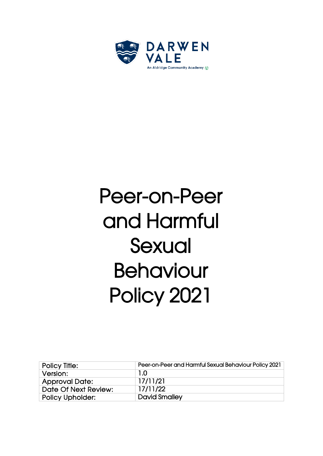

# Peer-on-Peer and Harmful Sexual Behaviour Policy 2021

| <b>Policy Title:</b>    | Peer-on-Peer and Harmful Sexual Behaviour Policy 2021 |
|-------------------------|-------------------------------------------------------|
| Version:                | 1.0                                                   |
| <b>Approval Date:</b>   | 17/11/21                                              |
| Date Of Next Review:    | 17/11/22                                              |
| <b>Policy Upholder:</b> | <b>David Smalley</b>                                  |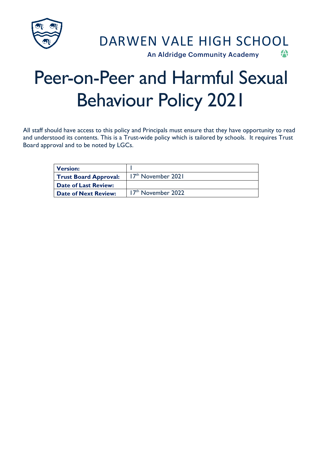

## Peer-on-Peer and Harmful Sexual Behaviour Policy 2021

All staff should have access to this policy and Principals must ensure that they have opportunity to read and understood its contents. This is a Trust-wide policy which is tailored by schools. It requires Trust Board approval and to be noted by LGCs.

| <b>Version:</b>              |                                |
|------------------------------|--------------------------------|
| <b>Trust Board Approval:</b> | 17 <sup>th</sup> November 2021 |
| <b>Date of Last Review:</b>  |                                |
| <b>Date of Next Review:</b>  | 17 <sup>th</sup> November 2022 |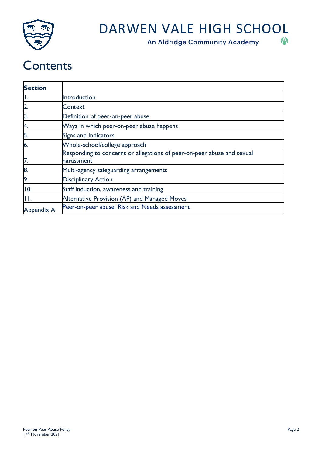

An Aldridge Community Academy

### **Contents**

| <b>Section</b>    |                                                                                      |
|-------------------|--------------------------------------------------------------------------------------|
|                   | Introduction                                                                         |
|                   | Context                                                                              |
|                   | Definition of peer-on-peer abuse                                                     |
| Α.                | Ways in which peer-on-peer abuse happens                                             |
| 5.                | Signs and Indicators                                                                 |
| 6.                | Whole-school/college approach                                                        |
| 7.                | Responding to concerns or allegations of peer-on-peer abuse and sexual<br>harassment |
| 8                 | Multi-agency safeguarding arrangements                                               |
| 9.                | <b>Disciplinary Action</b>                                                           |
| 10.               | Staff induction, awareness and training                                              |
|                   | Alternative Provision (AP) and Managed Moves                                         |
| <b>Appendix A</b> | Peer-on-peer abuse: Risk and Needs assessment                                        |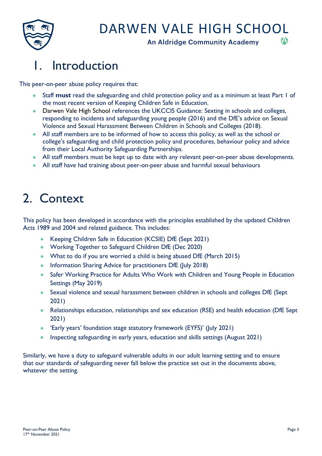

An Aldridge Community Academy

### 1. Introduction

This peer-on-peer abuse policy requires that:

- Staff **must** read the safeguarding and child protection policy and as a minimum at least Part 1 of the most recent version of Keeping Children Safe in Education.
- Darwen Vale High School references the UKCCIS Guidance: Sexting in schools and colleges, responding to incidents and safeguarding young people (2016) and the DfE's advice on Sexual Violence and Sexual Harassment Between Children in Schools and Colleges (2018).
- All staff members are to be informed of how to access this policy, as well as the school or college's safeguarding and child protection policy and procedures, behaviour policy and advice from their Local Authority Safeguarding Partnerships.
- All staff members must be kept up to date with any relevant peer-on-peer abuse developments.
- All staff have had training about peer-on-peer abuse and harmful sexual behaviours

### 2. Context

This policy has been developed in accordance with the principles established by the updated Children Acts 1989 and 2004 and related guidance. This includes:

- Keeping Children Safe in Education (KCSIE) DfE (Sept 2021)
- Working Together to Safeguard Children DfE (Dec 2020)
- What to do if you are worried a child is being abused DfE (March 2015)
- Information Sharing Advice for practitioners DfE (July 2018)
- Safer Working Practice for Adults Who Work with Children and Young People in Education Settings (May 2019)
- Sexual violence and sexual harassment between children in schools and colleges DfE (Sept 2021)
- Relationships education, relationships and sex education (RSE) and health education (DfE Sept 2021)
- 'Early years' foundation stage statutory framework (EYFS)' (July 2021)
- Inspecting safeguarding in early years, education and skills settings (August 2021)

Similarly, we have a duty to safeguard vulnerable adults in our adult learning setting and to ensure that our standards of safeguarding never fall below the practice set out in the documents above, whatever the setting.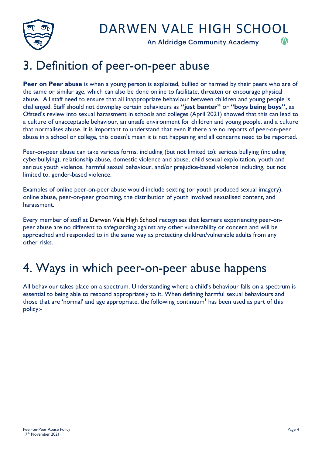

An Aldridge Community Academy



### 3. Definition of peer-on-peer abuse

Peer on Peer abuse is when a young person is exploited, bullied or harmed by their peers who are of the same or similar age, which can also be done online to facilitate, threaten or encourage physical abuse. All staff need to ensure that all inappropriate behaviour between children and young people is challenged. Staff should not downplay certain behaviours as **"just banter"** or **"boys being boys",** as Ofsted's review into sexual harassment in schools and colleges (April 2021) showed that this can lead to a culture of unacceptable behaviour, an unsafe environment for children and young people, and a culture that normalises abuse. It is important to understand that even if there are no reports of peer-on-peer abuse in a school or college, this doesn't mean it is not happening and all concerns need to be reported.

Peer-on-peer abuse can take various forms, including (but not limited to): serious bullying (including cyberbullying), relationship abuse, domestic violence and abuse, child sexual exploitation, youth and serious youth violence, harmful sexual behaviour, and/or prejudice-based violence including, but not limited to, gender-based violence.

Examples of online peer-on-peer abuse would include sexting (or youth produced sexual imagery), online abuse, peer-on-peer grooming, the distribution of youth involved sexualised content, and harassment.

Every member of staff at Darwen Vale High School recognises that learners experiencing peer-onpeer abuse are no different to safeguarding against any other vulnerability or concern and will be approached and responded to in the same way as protecting children/vulnerable adults from any other risks.

### 4. Ways in which peer-on-peer abuse happens

All behaviour takes place on a spectrum. Understanding where a child's behaviour falls on a spectrum is essential to being able to respond appropriately to it. When defining harmful sexual behaviours and those that are 'normal' and age appropriate, the following continuum<sup>1</sup> has been used as part of this policy:-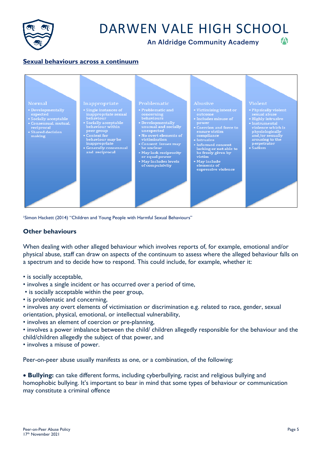

An Aldridge Community Academy



#### **Sexual behaviours across a continuum**



1Simon Hackett (2014) "Children and Young People with Harmful Sexual Behaviours"

#### **Other behaviours**

When dealing with other alleged behaviour which involves reports of, for example, emotional and/or physical abuse, staff can draw on aspects of the continuum to assess where the alleged behaviour falls on a spectrum and to decide how to respond. This could include, for example, whether it:

- is socially acceptable,
- involves a single incident or has occurred over a period of time,
- is socially acceptable within the peer group,
- is problematic and concerning,
- involves any overt elements of victimisation or discrimination e.g. related to race, gender, sexual orientation, physical, emotional, or intellectual vulnerability,
- involves an element of coercion or pre-planning,
- involves a power imbalance between the child/ children allegedly responsible for the behaviour and the child/children allegedly the subject of that power, and
- involves a misuse of power.

Peer-on-peer abuse usually manifests as one, or a combination, of the following:

• **Bullying:** can take different forms, including cyberbullying, racist and religious bullying and homophobic bullying. It's important to bear in mind that some types of behaviour or communication may constitute a criminal offence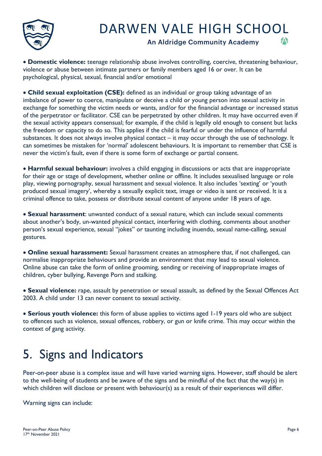

An Aldridge Community Academy



• **Domestic violence:** teenage relationship abuse involves controlling, coercive, threatening behaviour, violence or abuse between intimate partners or family members aged 16 or over. It can be psychological, physical, sexual, financial and/or emotional

• **Child sexual exploitation (CSE):** defined as an individual or group taking advantage of an imbalance of power to coerce, manipulate or deceive a child or young person into sexual activity in exchange for something the victim needs or wants, and/or for the financial advantage or increased status of the perpetrator or facilitator. CSE can be perpetrated by other children. It may have occurred even if the sexual activity appears consensual; for example, if the child is legally old enough to consent but lacks the freedom or capacity to do so. This applies if the child is fearful or under the influence of harmful substances. It does not always involve physical contact – it may occur through the use of technology. It can sometimes be mistaken for 'normal' adolescent behaviours. It is important to remember that CSE is never the victim's fault, even if there is some form of exchange or partial consent.

• **Harmful sexual behaviour:** involves a child engaging in discussions or acts that are inappropriate for their age or stage of development, whether online or offline. It includes sexualised language or role play, viewing pornography, sexual harassment and sexual violence. It also includes 'sexting' or 'youth produced sexual imagery', whereby a sexually explicit text, image or video is sent or received. It is a criminal offence to take, possess or distribute sexual content of anyone under 18 years of age.

• **Sexual harassment**: unwanted conduct of a sexual nature, which can include sexual comments about another's body, un-wanted physical contact, interfering with clothing, comments about another person's sexual experience, sexual "jokes" or taunting including inuendo, sexual name-calling, sexual gestures.

• **Online sexual harassment:** Sexual harassment creates an atmosphere that, if not challenged, can normalise inappropriate behaviours and provide an environment that may lead to sexual violence. Online abuse can take the form of online grooming, sending or receiving of inappropriate images of children, cyber bullying, Revenge Porn and stalking.

• **Sexual violence:** rape, assault by penetration or sexual assault, as defined by the Sexual Offences Act 2003. A child under 13 can never consent to sexual activity.

• **Serious youth violence:** this form of abuse applies to victims aged 1-19 years old who are subject to offences such as violence, sexual offences, robbery, or gun or knife crime. This may occur within the context of gang activity.

### 5. Signs and Indicators

Peer-on-peer abuse is a complex issue and will have varied warning signs. However, staff should be alert to the well-being of students and be aware of the signs and be mindful of the fact that the way(s) in which children will disclose or present with behaviour(s) as a result of their experiences will differ.

Warning signs can include: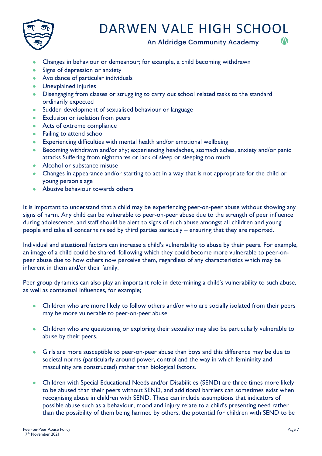

An Aldridge Community Academy



- Changes in behaviour or demeanour; for example, a child becoming withdrawn
- Signs of depression or anxiety
- Avoidance of particular individuals
- Unexplained injuries
- Disengaging from classes or struggling to carry out school related tasks to the standard ordinarily expected
- Sudden development of sexualised behaviour or language
- Exclusion or isolation from peers
- Acts of extreme compliance
- Failing to attend school
- Experiencing difficulties with mental health and/or emotional wellbeing
- Becoming withdrawn and/or shy; experiencing headaches, stomach aches, anxiety and/or panic attacks Suffering from nightmares or lack of sleep or sleeping too much
- Alcohol or substance misuse
- Changes in appearance and/or starting to act in a way that is not appropriate for the child or young person's age
- Abusive behaviour towards others

It is important to understand that a child may be experiencing peer-on-peer abuse without showing any signs of harm. Any child can be vulnerable to peer-on-peer abuse due to the strength of peer influence during adolescence, and staff should be alert to signs of such abuse amongst all children and young people and take all concerns raised by third parties seriously – ensuring that they are reported.

Individual and situational factors can increase a child's vulnerability to abuse by their peers. For example, an image of a child could be shared, following which they could become more vulnerable to peer-onpeer abuse due to how others now perceive them, regardless of any characteristics which may be inherent in them and/or their family.

Peer group dynamics can also play an important role in determining a child's vulnerability to such abuse, as well as contextual influences, for example;

- Children who are more likely to follow others and/or who are socially isolated from their peers may be more vulnerable to peer-on-peer abuse.
- Children who are questioning or exploring their sexuality may also be particularly vulnerable to abuse by their peers.
- Girls are more susceptible to peer-on-peer abuse than boys and this difference may be due to societal norms (particularly around power, control and the way in which femininity and masculinity are constructed) rather than biological factors.
- Children with Special Educational Needs and/or Disabilities (SEND) are three times more likely to be abused than their peers without SEND, and additional barriers can sometimes exist when recognising abuse in children with SEND. These can include assumptions that indicators of possible abuse such as a behaviour, mood and injury relate to a child's presenting need rather than the possibility of them being harmed by others, the potential for children with SEND to be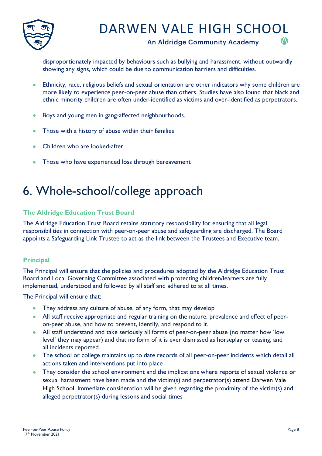

#### An Aldridge Community Academy



disproportionately impacted by behaviours such as bullying and harassment, without outwardly showing any signs, which could be due to communication barriers and difficulties.

- Ethnicity, race, religious beliefs and sexual orientation are other indicators why some children are more likely to experience peer-on-peer abuse than others. Studies have also found that black and ethnic minority children are often under-identified as victims and over-identified as perpetrators.
- Boys and young men in gang-affected neighbourhoods.
- Those with a history of abuse within their families
- Children who are looked-after
- Those who have experienced loss through bereavement

### 6. Whole-school/college approach

#### **The Aldridge Education Trust Board**

The Aldridge Education Trust Board retains statutory responsibility for ensuring that all legal responsibilities in connection with peer-on-peer abuse and safeguarding are discharged. The Board appoints a Safeguarding Link Trustee to act as the link between the Trustees and Executive team.

#### **Principal**

The Principal will ensure that the policies and procedures adopted by the Aldridge Education Trust Board and Local Governing Committee associated with protecting children/learners are fully implemented, understood and followed by all staff and adhered to at all times.

The Principal will ensure that;

- They address any culture of abuse, of any form, that may develop
- All staff receive appropriate and regular training on the nature, prevalence and effect of peeron-peer abuse, and how to prevent, identify, and respond to it.
- All staff understand and take seriously all forms of peer-on-peer abuse (no matter how 'low level' they may appear) and that no form of it is ever dismissed as horseplay or teasing, and all incidents reported
- The school or college maintains up to date records of all peer-on-peer incidents which detail all actions taken and interventions put into place
- They consider the school environment and the implications where reports of sexual violence or sexual harassment have been made and the victim(s) and perpetrator(s) attend Darwen Vale High School. Immediate consideration will be given regarding the proximity of the victim(s) and alleged perpetrator(s) during lessons and social times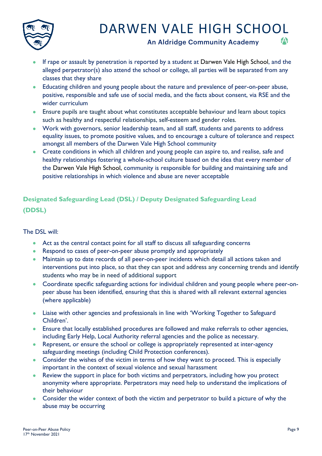

An Aldridge Community Academy



- If rape or assault by penetration is reported by a student at Darwen Vale High School, and the alleged perpetrator(s) also attend the school or college, all parties will be separated from any classes that they share
- Educating children and young people about the nature and prevalence of peer-on-peer abuse, positive, responsible and safe use of social media, and the facts about consent, via RSE and the wider curriculum
- Ensure pupils are taught about what constitutes acceptable behaviour and learn about topics such as healthy and respectful relationships, self-esteem and gender roles.
- Work with governors, senior leadership team, and all staff, students and parents to address equality issues, to promote positive values, and to encourage a culture of tolerance and respect amongst all members of the Darwen Vale High School community
- Create conditions in which all children and young people can aspire to, and realise, safe and healthy relationships fostering a whole-school culture based on the idea that every member of the Darwen Vale High School, community is responsible for building and maintaining safe and positive relationships in which violence and abuse are never acceptable

#### **Designated Safeguarding Lead (DSL) / Deputy Designated Safeguarding Lead (DDSL)**

The DSL will:

- Act as the central contact point for all staff to discuss all safeguarding concerns
- Respond to cases of peer-on-peer abuse promptly and appropriately
- Maintain up to date records of all peer-on-peer incidents which detail all actions taken and interventions put into place, so that they can spot and address any concerning trends and identify students who may be in need of additional support
- Coordinate specific safeguarding actions for individual children and young people where peer-onpeer abuse has been identified, ensuring that this is shared with all relevant external agencies (where applicable)
- Liaise with other agencies and professionals in line with 'Working Together to Safeguard Children'.
- Ensure that locally established procedures are followed and make referrals to other agencies, including Early Help, Local Authority referral agencies and the police as necessary.
- Represent, or ensure the school or college is appropriately represented at inter-agency safeguarding meetings (including Child Protection conferences).
- Consider the wishes of the victim in terms of how they want to proceed. This is especially important in the context of sexual violence and sexual harassment
- Review the support in place for both victims and perpetrators, including how you protect anonymity where appropriate. Perpetrators may need help to understand the implications of their behaviour
- Consider the wider context of both the victim and perpetrator to build a picture of why the abuse may be occurring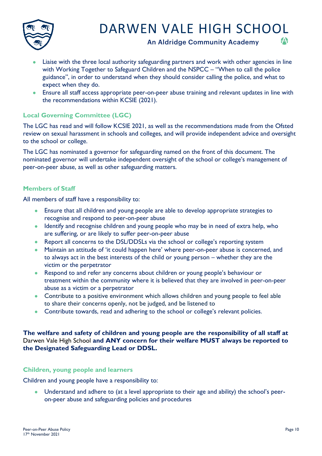

An Aldridge Community Academy



- Liaise with the three local authority safeguarding partners and work with other agencies in line with Working Together to Safeguard Children and the NSPCC – "When to call the police guidance", in order to understand when they should consider calling the police, and what to expect when they do.
- Ensure all staff access appropriate peer-on-peer abuse training and relevant updates in line with the recommendations within KCSIE (2021).

#### **Local Governing Committee (LGC)**

The LGC has read and will follow KCSIE 2021, as well as the recommendations made from the Ofsted review on sexual harassment in schools and colleges, and will provide independent advice and oversight to the school or college.

The LGC has nominated a governor for safeguarding named on the front of this document. The nominated governor will undertake independent oversight of the school or college's management of peer-on-peer abuse, as well as other safeguarding matters.

#### **Members of Staff**

All members of staff have a responsibility to:

- Ensure that all children and young people are able to develop appropriate strategies to recognise and respond to peer-on-peer abuse
- Identify and recognise children and young people who may be in need of extra help, who are suffering, or are likely to suffer peer-on-peer abuse
- Report all concerns to the DSL/DDSLs via the school or college's reporting system
- Maintain an attitude of 'it could happen here' where peer-on-peer abuse is concerned, and to always act in the best interests of the child or young person – whether they are the victim or the perpetrator
- Respond to and refer any concerns about children or young people's behaviour or treatment within the community where it is believed that they are involved in peer-on-peer abuse as a victim or a perpetrator
- Contribute to a positive environment which allows children and young people to feel able to share their concerns openly, not be judged, and be listened to
- Contribute towards, read and adhering to the school or college's relevant policies.

#### **The welfare and safety of children and young people are the responsibility of all staff at**  Darwen Vale High School **and ANY concern for their welfare MUST always be reported to the Designated Safeguarding Lead or DDSL.**

#### **Children, young people and learners**

Children and young people have a responsibility to:

• Understand and adhere to (at a level appropriate to their age and ability) the school's peeron-peer abuse and safeguarding policies and procedures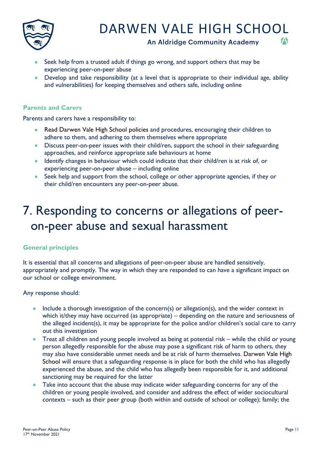

An Aldridge Community Academy



- Seek help from a trusted adult if things go wrong, and support others that may be experiencing peer-on-peer abuse
- Develop and take responsibility (at a level that is appropriate to their individual age, ability and vulnerabilities) for keeping themselves and others safe, including online

#### **Parents and Carers**

Parents and carers have a responsibility to:

- Read Darwen Vale High School policies and procedures, encouraging their children to adhere to them, and adhering to them themselves where appropriate
- Discuss peer-on-peer issues with their child/ren, support the school in their safeguarding approaches, and reinforce appropriate safe behaviours at home
- Identify changes in behaviour which could indicate that their child/ren is at risk of, or experiencing peer-on-peer abuse – including online
- Seek help and support from the school, college or other appropriate agencies, if they or their child/ren encounters any peer-on-peer abuse.

### 7. Responding to concerns or allegations of peeron-peer abuse and sexual harassment

#### **General principles**

It is essential that all concerns and allegations of peer-on-peer abuse are handled sensitively, appropriately and promptly. The way in which they are responded to can have a significant impact on our school or college environment.

Any response should:

- Include a thorough investigation of the concern(s) or allegation(s), and the wider context in which it/they may have occurred (as appropriate) – depending on the nature and seriousness of the alleged incident(s), it may be appropriate for the police and/or children's social care to carry out this investigation
- Treat all children and young people involved as being at potential risk while the child or young person allegedly responsible for the abuse may pose a significant risk of harm to others, they may also have considerable unmet needs and be at risk of harm themselves. Darwen Vale High School will ensure that a safeguarding response is in place for both the child who has allegedly experienced the abuse, and the child who has allegedly been responsible for it, and additional sanctioning may be required for the latter
- Take into account that the abuse may indicate wider safeguarding concerns for any of the children or young people involved, and consider and address the effect of wider sociocultural contexts – such as their peer group (both within and outside of school or college); family; the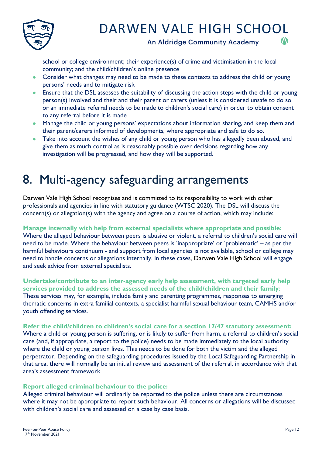

An Aldridge Community Academy



school or college environment; their experience(s) of crime and victimisation in the local community; and the child/children's online presence

- Consider what changes may need to be made to these contexts to address the child or young persons' needs and to mitigate risk
- Ensure that the DSL assesses the suitability of discussing the action steps with the child or young person(s) involved and their and their parent or carers (unless it is considered unsafe to do so or an immediate referral needs to be made to children's social care) in order to obtain consent to any referral before it is made
- Manage the child or young persons' expectations about information sharing, and keep them and their parent/carers informed of developments, where appropriate and safe to do so.
- Take into account the wishes of any child or young person who has allegedly been abused, and give them as much control as is reasonably possible over decisions regarding how any investigation will be progressed, and how they will be supported.

### 8. Multi-agency safeguarding arrangements

Darwen Vale High School recognises and is committed to its responsibility to work with other professionals and agencies in line with statutory guidance (WTSC 2020). The DSL will discuss the concern(s) or allegation(s) with the agency and agree on a course of action, which may include:

#### **Manage internally with help from external specialists where appropriate and possible:**

Where the alleged behaviour between peers is abusive or violent, a referral to children's social care will need to be made. Where the behaviour between peers is 'inappropriate' or 'problematic' – as per the harmful behaviours continuum - and support from local agencies is not available, school or college may need to handle concerns or allegations internally. In these cases, Darwen Vale High School will engage and seek advice from external specialists.

**Undertake/contribute to an inter-agency early help assessment, with targeted early help services provided to address the assessed needs of the child/children and their family**: These services may, for example, include family and parenting programmes, responses to emerging thematic concerns in extra familial contexts, a specialist harmful sexual behaviour team, CAMHS and/or youth offending services.

#### **Refer the child/children to children's social care for a section 17/47 statutory assessment:**

Where a child or young person is suffering, or is likely to suffer from harm, a referral to children's social care (and, if appropriate, a report to the police) needs to be made immediately to the local authority where the child or young person lives. This needs to be done for both the victim and the alleged perpetrator. Depending on the safeguarding procedures issued by the Local Safeguarding Partnership in that area, there will normally be an initial review and assessment of the referral, in accordance with that area's assessment framework

#### **Report alleged criminal behaviour to the police:**

Alleged criminal behaviour will ordinarily be reported to the police unless there are circumstances where it may not be appropriate to report such behaviour. All concerns or allegations will be discussed with children's social care and assessed on a case by case basis.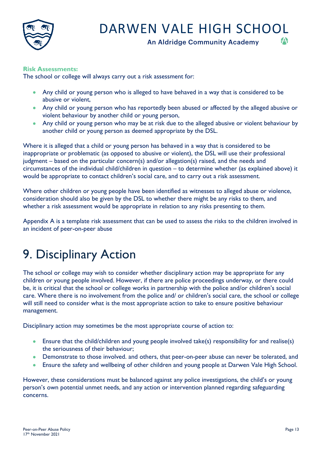

An Aldridge Community Academy



The school or college will always carry out a risk assessment for:

- Any child or young person who is alleged to have behaved in a way that is considered to be abusive or violent,
- Any child or young person who has reportedly been abused or affected by the alleged abusive or violent behaviour by another child or young person,
- Any child or young person who may be at risk due to the alleged abusive or violent behaviour by another child or young person as deemed appropriate by the DSL.

Where it is alleged that a child or young person has behaved in a way that is considered to be inappropriate or problematic (as opposed to abusive or violent), the DSL will use their professional judgment – based on the particular concern(s) and/or allegation(s) raised, and the needs and circumstances of the individual child/children in question – to determine whether (as explained above) it would be appropriate to contact children's social care, and to carry out a risk assessment.

Where other children or young people have been identified as witnesses to alleged abuse or violence, consideration should also be given by the DSL to whether there might be any risks to them, and whether a risk assessment would be appropriate in relation to any risks presenting to them.

Appendix A is a template risk assessment that can be used to assess the risks to the children involved in an incident of peer-on-peer abuse

### 9. Disciplinary Action

The school or college may wish to consider whether disciplinary action may be appropriate for any children or young people involved. However, if there are police proceedings underway, or there could be, it is critical that the school or college works in partnership with the police and/or children's social care. Where there is no involvement from the police and/ or children's social care, the school or college will still need to consider what is the most appropriate action to take to ensure positive behaviour management.

Disciplinary action may sometimes be the most appropriate course of action to:

- Ensure that the child/children and young people involved take(s) responsibility for and realise(s) the seriousness of their behaviour;
- Demonstrate to those involved. and others, that peer-on-peer abuse can never be tolerated, and
- Ensure the safety and wellbeing of other children and young people at Darwen Vale High School.

However, these considerations must be balanced against any police investigations, the child's or young person's own potential unmet needs, and any action or intervention planned regarding safeguarding concerns.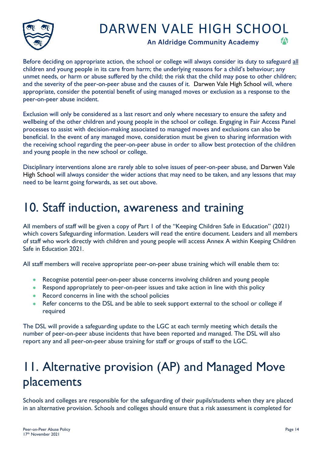

An Aldridge Community Academy



Before deciding on appropriate action, the school or college will always consider its duty to safeguard all children and young people in its care from harm; the underlying reasons for a child's behaviour; any unmet needs, or harm or abuse suffered by the child; the risk that the child may pose to other children; and the severity of the peer-on-peer abuse and the causes of it. Darwen Vale High School will, where appropriate, consider the potential benefit of using managed moves or exclusion as a response to the peer-on-peer abuse incident.

Exclusion will only be considered as a last resort and only where necessary to ensure the safety and wellbeing of the other children and young people in the school or college. Engaging in Fair Access Panel processes to assist with decision-making associated to managed moves and exclusions can also be beneficial. In the event of any managed move, consideration must be given to sharing information with the receiving school regarding the peer-on-peer abuse in order to allow best protection of the children and young people in the new school or college.

Disciplinary interventions alone are rarely able to solve issues of peer-on-peer abuse, and Darwen Vale High School will always consider the wider actions that may need to be taken, and any lessons that may need to be learnt going forwards, as set out above.

### 10. Staff induction, awareness and training

All members of staff will be given a copy of Part 1 of the "Keeping Children Safe in Education" (2021) which covers Safeguarding information. Leaders will read the entire document. Leaders and all members of staff who work directly with children and young people will access Annex A within Keeping Children Safe in Education 2021.

All staff members will receive appropriate peer-on-peer abuse training which will enable them to:

- Recognise potential peer-on-peer abuse concerns involving children and young people
- Respond appropriately to peer-on-peer issues and take action in line with this policy
- Record concerns in line with the school policies
- Refer concerns to the DSL and be able to seek support external to the school or college if required

The DSL will provide a safeguarding update to the LGC at each termly meeting which details the number of peer-on-peer abuse incidents that have been reported and managed. The DSL will also report any and all peer-on-peer abuse training for staff or groups of staff to the LGC.

### 11. Alternative provision (AP) and Managed Move placements

Schools and colleges are responsible for the safeguarding of their pupils/students when they are placed in an alternative provision. Schools and colleges should ensure that a risk assessment is completed for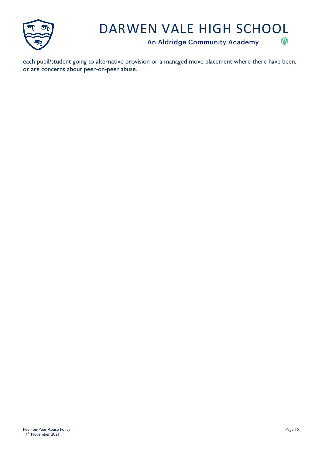

An Aldridge Community Academy



each pupil/student going to alternative provision or a managed move placement where there have been, or are concerns about peer-on-peer abuse.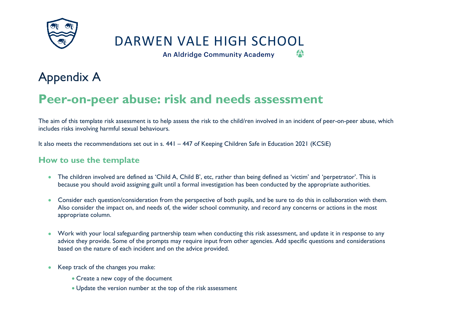

An Aldridge Community Academy

A

### Appendix A

### **Peer-on-peer abuse: risk and needs assessment**

The aim of this template risk assessment is to help assess the risk to the child/ren involved in an incident of peer-on-peer abuse, which includes risks involving harmful sexual behaviours.

It also meets the recommendations set out in s. 441 – 447 of Keeping Children Safe in Education 2021 (KCSiE)

### **How to use the template**

- The children involved are defined as 'Child A, Child B', etc, rather than being defined as 'victim' and 'perpetrator'. This is because you should avoid assigning guilt until a formal investigation has been conducted by the appropriate authorities.
- Consider each question/consideration from the perspective of both pupils, and be sure to do this in collaboration with them. Also consider the impact on, and needs of, the wider school community, and record any concerns or actions in the most appropriate column.
- Work with your local safeguarding partnership team when conducting this risk assessment, and update it in response to any advice they provide. Some of the prompts may require input from other agencies. Add specific questions and considerations based on the nature of each incident and on the advice provided.
- Keep track of the changes you make:
	- Create a new copy of the document
	- Update the version number at the top of the risk assessment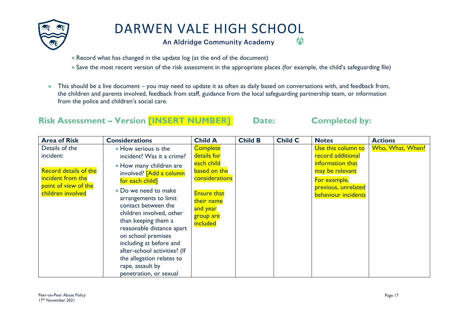

An Aldridge Community Academy

- Record what has changed in the update log (at the end of the document)
- Save the most recent version of the risk assessment in the appropriate places (for example, the child's safeguarding file)
- This should be a live document you may need to update it as often as daily based on conversations with, and feedback from, the children and parents involved, feedback from staff, guidance from the local safeguarding partnership team, or information from the police and children's social care.

### **Risk Assessment – Version [INSERT NUMBER] Date: Completed by:**

A

| <b>Area of Risk</b>                                                                                                           | <b>Considerations</b>                                                                                                                                                                                                                                                                                                                                                                                                                          | <b>Child A</b>                                                                                                                                          | <b>Child B</b> | <b>Child C</b> | <b>Notes</b>                                                                                                                                 | <b>Actions</b>   |
|-------------------------------------------------------------------------------------------------------------------------------|------------------------------------------------------------------------------------------------------------------------------------------------------------------------------------------------------------------------------------------------------------------------------------------------------------------------------------------------------------------------------------------------------------------------------------------------|---------------------------------------------------------------------------------------------------------------------------------------------------------|----------------|----------------|----------------------------------------------------------------------------------------------------------------------------------------------|------------------|
| Details of the<br>incident:<br><b>Record details of the</b><br>incident from the<br>point of view of the<br>children involved | • How serious is the<br>incident? Was it a crime?<br>• How many children are<br>involved? [Add a column<br>for each child]<br>• Do we need to make<br>arrangements to limit<br>contact between the<br>children involved, other<br>than keeping them a<br>reasonable distance apart<br>on school premises<br>including at before and<br>after-school activities? (If<br>the allegation relates to<br>rape, assault by<br>penetration, or sexual | <b>Complete</b><br>details for<br>each child<br>based on the<br>considerations<br><b>Ensure that</b><br>their name<br>and year<br>group are<br>included |                |                | Use this column to<br>record additional<br>information that<br>may be relevant<br>For example,<br>previous, unrelated<br>behaviour incidents | Who, What, When? |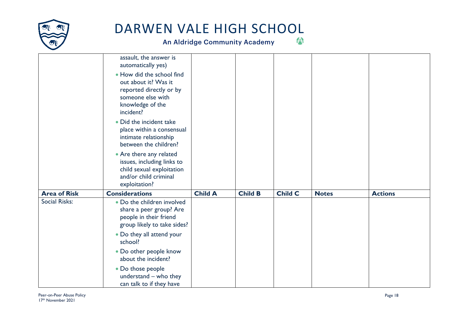

|                     | assault, the answer is<br>automatically yes)<br>. How did the school find<br>out about it? Was it<br>reported directly or by<br>someone else with<br>knowledge of the<br>incident?<br>• Did the incident take<br>place within a consensual<br>intimate relationship<br>between the children?<br>• Are there any related<br>issues, including links to<br>child sexual exploitation<br>and/or child criminal<br>exploitation? |                |                |                |              |                |
|---------------------|------------------------------------------------------------------------------------------------------------------------------------------------------------------------------------------------------------------------------------------------------------------------------------------------------------------------------------------------------------------------------------------------------------------------------|----------------|----------------|----------------|--------------|----------------|
| <b>Area of Risk</b> | <b>Considerations</b>                                                                                                                                                                                                                                                                                                                                                                                                        | <b>Child A</b> | <b>Child B</b> | <b>Child C</b> | <b>Notes</b> | <b>Actions</b> |
| Social Risks:       | . Do the children involved<br>share a peer group? Are<br>people in their friend<br>group likely to take sides?                                                                                                                                                                                                                                                                                                               |                |                |                |              |                |
|                     | • Do they all attend your<br>school?                                                                                                                                                                                                                                                                                                                                                                                         |                |                |                |              |                |
|                     | • Do other people know<br>about the incident?                                                                                                                                                                                                                                                                                                                                                                                |                |                |                |              |                |
|                     | • Do those people<br>understand - who they<br>can talk to if they have                                                                                                                                                                                                                                                                                                                                                       |                |                |                |              |                |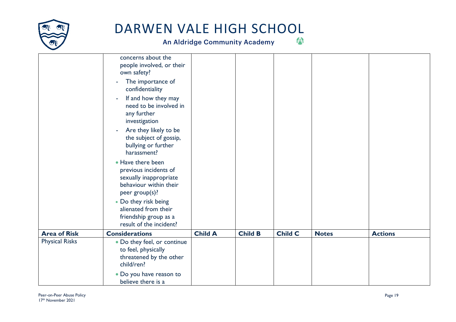

|                       | concerns about the<br>people involved, or their<br>own safety?<br>The importance of<br>confidentiality<br>If and how they may<br>٠<br>need to be involved in<br>any further<br>investigation<br>Are they likely to be<br>$\overline{\phantom{a}}$<br>the subject of gossip,<br>bullying or further<br>harassment? |                |                |                |              |                |
|-----------------------|-------------------------------------------------------------------------------------------------------------------------------------------------------------------------------------------------------------------------------------------------------------------------------------------------------------------|----------------|----------------|----------------|--------------|----------------|
|                       | • Have there been<br>previous incidents of<br>sexually inappropriate<br>behaviour within their<br>peer group(s)?                                                                                                                                                                                                  |                |                |                |              |                |
|                       | • Do they risk being<br>alienated from their<br>friendship group as a<br>result of the incident?                                                                                                                                                                                                                  |                |                |                |              |                |
| <b>Area of Risk</b>   | <b>Considerations</b>                                                                                                                                                                                                                                                                                             | <b>Child A</b> | <b>Child B</b> | <b>Child C</b> | <b>Notes</b> | <b>Actions</b> |
| <b>Physical Risks</b> | . Do they feel, or continue<br>to feel, physically<br>threatened by the other<br>child/ren?                                                                                                                                                                                                                       |                |                |                |              |                |
|                       | . Do you have reason to<br>believe there is a                                                                                                                                                                                                                                                                     |                |                |                |              |                |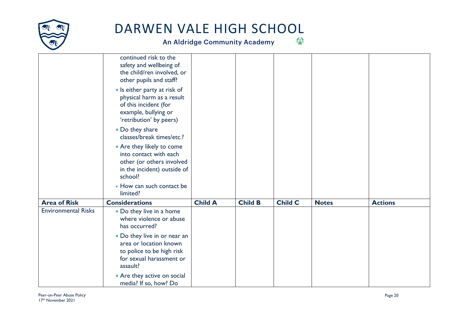

|                            | continued risk to the<br>safety and wellbeing of<br>the child/ren involved, or<br>other pupils and staff?<br>• Is either party at risk of<br>physical harm as a result<br>of this incident (for<br>example, bullying or<br>'retribution' by peers)<br>• Do they share<br>classes/break times/etc.?<br>• Are they likely to come<br>into contact with each<br>other (or others involved<br>in the incident) outside of |                |                |                |              |                |
|----------------------------|-----------------------------------------------------------------------------------------------------------------------------------------------------------------------------------------------------------------------------------------------------------------------------------------------------------------------------------------------------------------------------------------------------------------------|----------------|----------------|----------------|--------------|----------------|
|                            | school?<br>• How can such contact be                                                                                                                                                                                                                                                                                                                                                                                  |                |                |                |              |                |
|                            | limited?                                                                                                                                                                                                                                                                                                                                                                                                              |                |                |                |              |                |
| <b>Area of Risk</b>        | <b>Considerations</b>                                                                                                                                                                                                                                                                                                                                                                                                 | <b>Child A</b> | <b>Child B</b> | <b>Child C</b> | <b>Notes</b> | <b>Actions</b> |
| <b>Environmental Risks</b> | • Do they live in a home<br>where violence or abuse<br>has occurred?                                                                                                                                                                                                                                                                                                                                                  |                |                |                |              |                |
|                            | • Do they live in or near an<br>area or location known<br>to police to be high risk<br>for sexual harassment or<br>assault?                                                                                                                                                                                                                                                                                           |                |                |                |              |                |
|                            | • Are they active on social<br>media? If so, how? Do                                                                                                                                                                                                                                                                                                                                                                  |                |                |                |              |                |